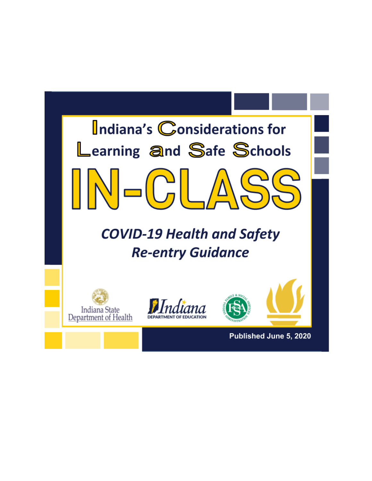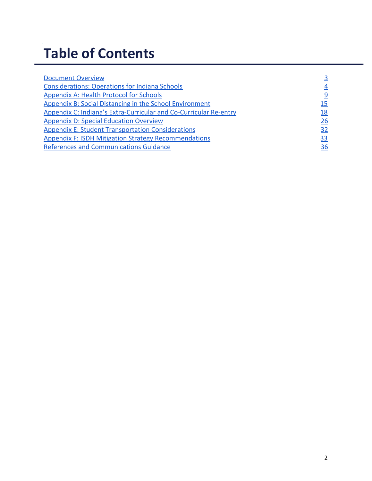# **Table of Contents**

| <b>Document Overview</b>                                          |    |
|-------------------------------------------------------------------|----|
| <b>Considerations: Operations for Indiana Schools</b>             |    |
| <b>Appendix A: Health Protocol for Schools</b>                    |    |
| <b>Appendix B: Social Distancing in the School Environment</b>    | 15 |
| Appendix C: Indiana's Extra-Curricular and Co-Curricular Re-entry | 18 |
| <b>Appendix D: Special Education Overview</b>                     | 26 |
| <b>Appendix E: Student Transportation Considerations</b>          | 32 |
| <b>Appendix F: ISDH Mitigation Strategy Recommendations</b>       | 33 |
| <b>References and Communications Guidance</b>                     | 36 |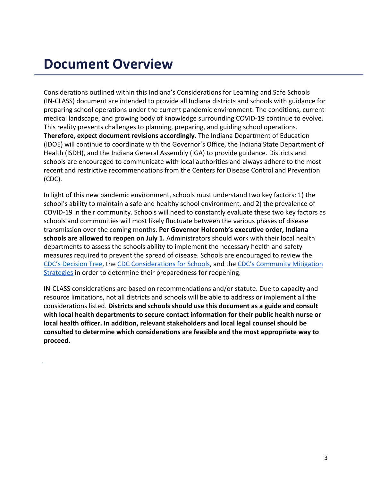## <span id="page-2-0"></span>**Document Overview**

Considerations outlined within this Indiana's Considerations for Learning and Safe Schools (IN-CLASS) document are intended to provide all Indiana districts and schools with guidance for preparing school operations under the current pandemic environment. The conditions, current medical landscape, and growing body of knowledge surrounding COVID-19 continue to evolve. This reality presents challenges to planning, preparing, and guiding school operations. **Therefore, expect document revisions accordingly.** The Indiana Department of Education (IDOE) will continue to coordinate with the Governor's Office, the Indiana State Department of Health (ISDH), and the Indiana General Assembly (IGA) to provide guidance. Districts and schools are encouraged to communicate with local authorities and always adhere to the most recent and restrictive recommendations from the Centers for Disease Control and Prevention (CDC).

In light of this new pandemic environment, schools must understand two key factors: 1) the school's ability to maintain a safe and healthy school environment, and 2) the prevalence of COVID-19 in their community. Schools will need to constantly evaluate these two key factors as schools and communities will most likely fluctuate between the various phases of disease transmission over the coming months. **Per Governor Holcomb's executive order, Indiana schools are allowed to reopen on July 1.** Administrators should work with their local health departments to assess the schools ability to implement the necessary health and safety measures required to prevent the spread of disease. Schools are encouraged to review the [CDC's Decision Tree,](http://www.cdc.gov/coronavirus/2019-ncov/community/schools-childcare/Schools-Decision-Tree.pdf) the [CDC Considerations for Schools,](https://www.cdc.gov/coronavirus/2019-ncov/community/schools-childcare/schools.html) and the [CDC's Community Mitigation](https://www.cdc.gov/coronavirus/2019-ncov/downloads/community-mitigation-strategy.pdf) [Strategies](https://www.cdc.gov/coronavirus/2019-ncov/downloads/community-mitigation-strategy.pdf) in order to determine their preparedness for reopening.

IN-CLASS considerations are based on recommendations and/or statute. Due to capacity and resource limitations, not all districts and schools will be able to address or implement all the considerations listed. **Districts and schools should use this document as a guide and consult with local health departments to secure contact information for their public health nurse or local health officer. In addition, relevant stakeholders and local legal counsel should be consulted to determine which considerations are feasible and the most appropriate way to proceed.**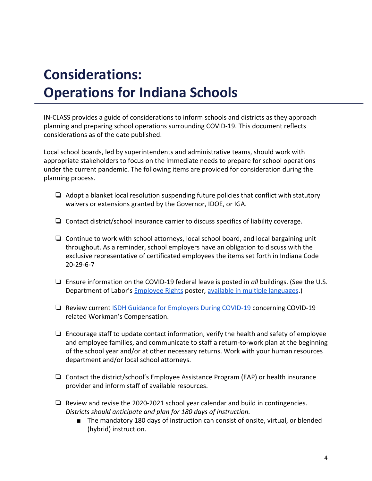# <span id="page-3-0"></span> **Operations for Indiana Schools Considerations:**

IN-CLASS provides a guide of considerations to inform schools and districts as they approach planning and preparing school operations surrounding COVID-19. This document reflects considerations as of the date published.

Local school boards, led by superintendents and administrative teams, should work with appropriate stakeholders to focus on the immediate needs to prepare for school operations under the current pandemic. The following items are provided for consideration during the planning process.

- ❏ Adopt a blanket local resolution suspending future policies that conflict with statutory waivers or extensions granted by the Governor, IDOE, or IGA.
- ❏ Contact district/school insurance carrier to discuss specifics of liability coverage.
- ❏ Continue to work with school attorneys, local school board, and local bargaining unit throughout. As a reminder, school employers have an obligation to discuss with the exclusive representative of certificated employees the items set forth in Indiana Code 20-29-6-7
- ❏ Ensure information on the COVID-19 federal leave is posted in *all* buildings. (See the U.S. Department of Labor's **[Employee Rights](https://www.dol.gov/sites/dolgov/files/WHD/posters/FFCRA_Poster_WH1422_Non-Federal.pdf) poster, [available in multiple languages](https://www.dol.gov/agencies/whd/pandemic).**)
- ❏ Review current [ISDH Guidance for Employers During COVID-19](https://www.coronavirus.in.gov/files/IN-COVID-19_Occupational%20Guidance%204.1.20.pdf) concerning COVID-19 related Workman's Compensation.
- ❏ Encourage staff to update contact information, verify the health and safety of employee and employee families, and communicate to staff a return-to-work plan at the beginning of the school year and/or at other necessary returns. Work with your human resources department and/or local school attorneys.
- ❏ Contact the district/school's Employee Assistance Program (EAP) or health insurance provider and inform staff of available resources.
- ❏ Review and revise the 2020-2021 school year calendar and build in contingencies. *Districts should anticipate and plan for 180 days of instruction.*
	- The mandatory 180 days of instruction can consist of onsite, virtual, or blended (hybrid) instruction.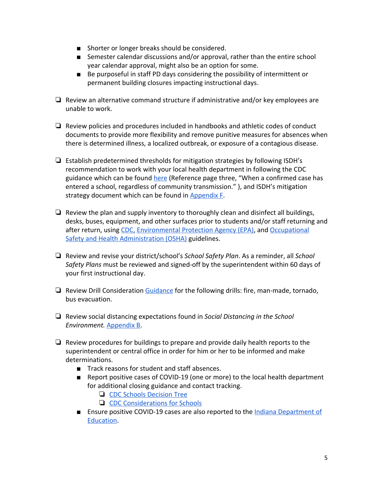- Shorter or longer breaks should be considered.
- Semester calendar discussions and/or approval, rather than the entire school year calendar approval, might also be an option for some.
- Be purposeful in staff PD days considering the possibility of intermittent or permanent building closures impacting instructional days.
- ❏ Review an alternative command structure if administrative and/or key employees are unable to work.
- ❏ Review policies and procedures included in handbooks and athletic codes of conduct documents to provide more flexibility and remove punitive measures for absences when there is determined illness, a localized outbreak, or exposure of a contagious disease.
- ❏ Establish predetermined thresholds for mitigation strategies by following ISDH's recommendation to work with your local health department in following the CDC guidance which can be found [here](https://www.cdc.gov/coronavirus/2019-ncov/community/schools-childcare/guidance-for-schools-h.pdf) (Reference page three, "When a confirmed case has entered a school, regardless of community transmission." ), and ISDH's mitigation strategy document which can be found in [Appendix F.](#page-33-0)
- $\Box$  Review the plan and supply inventory to thoroughly clean and disinfect all buildings, desks, buses, equipment, and other surfaces prior to students and/or staff returning and after return, using [CDC,](https://www.cdc.gov/coronavirus/2019-ncov/community/pdf/Reopening_America_Guidance.pdf) [Environmental Protection Agency \(EPA\),](https://www.cdc.gov/coronavirus/2019-ncov/community/pdf/Reopening_America_Guidance.pdf) and [Occupational](https://www.osha.gov/Publications/OSHA3990.pdf) [Safety and Health Administration \(OSHA\)](https://www.osha.gov/Publications/OSHA3990.pdf) guidelines.
- ❏ Review and revise your district/school's *School Safety Plan*. As a reminder, all *School Safety Plans* must be reviewed and signed-off by the superintendent within 60 days of your first instructional day.
- ❏ Review Drill Consideration [Guidance](https://docs.google.com/document/d/1Jdl5iBztrF_pg3ktSAaTrbnmGrhbDFBq/edit#) for the following drills: fire, man-made, tornado, bus evacuation.
- ❏ Review social distancing expectations found in *Social Distancing in the School Environment.* [Appendix B](#page-14-0).
- ❏ Review procedures for buildings to prepare and provide daily health reports to the superintendent or central office in order for him or her to be informed and make determinations.
	- Track reasons for student and staff absences.
	- Report positive cases of COVID-19 (one or more) to the local health department for additional closing guidance and contact tracking.
		- ❏ [CDC Schools Decision Tree](https://www.cdc.gov/coronavirus/2019-ncov/community/schools-childcare/Schools-Decision-Tree.pdf)
		- ❏ [CDC Considerations for Schools](https://www.cdc.gov/coronavirus/2019-ncov/community/schools-childcare/schools.html)
	- Ensure positive COVID-19 cases are also reported to the [Indiana Department of](http://form.jotform.com/200633480080950) [Education.](http://form.jotform.com/200633480080950)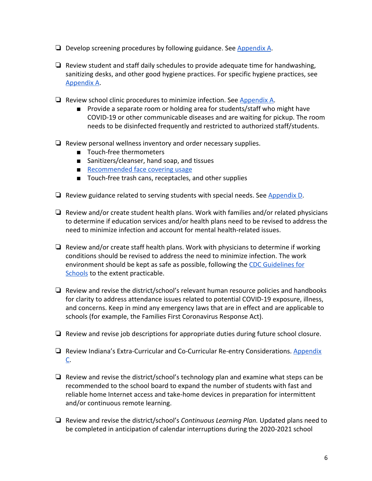- ❏ Develop screening procedures by following guidance. See [Appendix A](#page-8-0).
- $\Box$  Review student and staff daily schedules to provide adequate time for handwashing, sanitizing desks, and other good hygiene practices. For specific hygiene practices, see [Appendix A.](#page-8-0)
- ❏ Review school clinic procedures to minimize infection. See [Appendix A.](#page-8-0)
	- Provide a separate room or holding area for students/staff who might have COVID-19 or other communicable diseases and are waiting for pickup. The room needs to be disinfected frequently and restricted to authorized staff/students.
- ❏ Review personal wellness inventory and order necessary supplies.
	- Touch-free thermometers
	- Sanitizers/cleanser, hand soap, and tissues
	- [Recommended face covering usage](https://www.cdc.gov/coronavirus/2019-ncov/prevent-getting-sick/diy-cloth-face-coverings.html)
	- Touch-free trash cans, receptacles, and other supplies
- $\Box$  Review guidance related to serving students with special needs. See [Appendix D.](#page-25-0)
- ❏ Review and/or create student health plans. Work with families and/or related physicians to determine if education services and/or health plans need to be revised to address the need to minimize infection and account for mental health-related issues.
- ❏ Review and/or create staff health plans. Work with physicians to determine if working conditions should be revised to address the need to minimize infection. The work environment should be kept as safe as possible, following the [CDC Guidelines for](https://www.cdc.gov/coronavirus/2019-ncov/community/schools-childcare/schools.html) [Schools](https://www.cdc.gov/coronavirus/2019-ncov/community/schools-childcare/schools.html) to the extent practicable.
- ❏ Review and revise the district/school's relevant human resource policies and handbooks for clarity to address attendance issues related to potential COVID-19 exposure, illness, and concerns. Keep in mind any emergency laws that are in effect and are applicable to schools (for example, the Families First Coronavirus Response Act).
- ❏ Review and revise job descriptions for appropriate duties during future school closure.
- ❏ Review Indiana's Extra-Curricular and Co-Curricular Re-entry Considerations. [Appendix](#page-17-0) [C.](#page-17-0)
- ❏ Review and revise the district/school's technology plan and examine what steps can be recommended to the school board to expand the number of students with fast and reliable home Internet access and take-home devices in preparation for intermittent and/or continuous remote learning.
- ❏ Review and revise the district/school's *Continuous Learning Plan.* Updated plans need to be completed in anticipation of calendar interruptions during the 2020-2021 school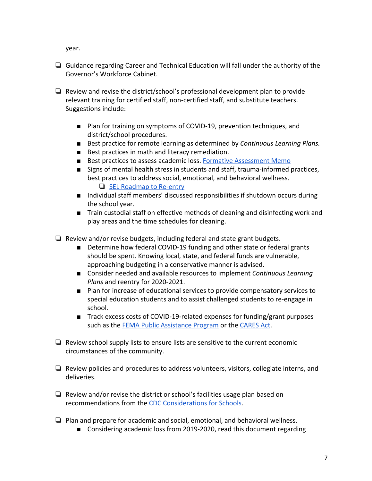year.

- ❏ Guidance regarding Career and Technical Education will fall under the authority of the Governor's Workforce Cabinet.
- ❏ Review and revise the district/school's professional development plan to provide relevant training for certified staff, non-certified staff, and substitute teachers. Suggestions include:
	- Plan for training on symptoms of COVID-19, prevention techniques, and district/school procedures.
	- Best practice for remote learning as determined by *Continuous Learning Plans.*
	- Best practices in math and literacy remediation.
	- Best practices to assess academic loss. [Formative Assessment Memo](https://docs.google.com/document/d/1htjWw1jwmRkKFfo-YiKge912hN5oWwBk/edit#heading=h.gjdgxs)
	- Signs of mental health stress in students and staff, trauma-informed practices, best practices to address social, emotional, and behavioral wellness. ❏ [SEL Roadmap to Re-entry](https://docs.google.com/document/d/1W455dK08QPf9v3quZl57N4GJkIe_V3rZ7LqpZw8S2No/edit?usp=sharing)
	- Individual staff members' discussed responsibilities if shutdown occurs during the school year.
	- Train custodial staff on effective methods of cleaning and disinfecting work and play areas and the time schedules for cleaning.
- ❏ Review and/or revise budgets, including federal and state grant budgets.
	- Determine how federal COVID-19 funding and other state or federal grants should be spent. Knowing local, state, and federal funds are vulnerable, approaching budgeting in a conservative manner is advised.
	- Consider needed and available resources to implement *Continuous Learning Plans* and reentry for 2020-2021.
	- Plan for increase of educational services to provide compensatory services to special education students and to assist challenged students to re-engage in school.
	- Track excess costs of COVID-19-related expenses for funding/grant purposes such as the [FEMA Public Assistance Program](http://www.in.gov/dhs/paprogram.htm#Applicant%20Briefing%20Webinars) or the [CARES Act](https://www.doe.in.gov/grants/cares-act).
- ❏ Review school supply lists to ensure lists are sensitive to the current economic circumstances of the community.
- ❏ Review policies and procedures to address volunteers, visitors, collegiate interns, and deliveries.
- ❏ Review and/or revise the district or school's facilities usage plan based on recommendations from the [CDC Considerations for Schools.](https://www.cdc.gov/coronavirus/2019-ncov/community/schools-childcare/schools.html)
- ❏ Plan and prepare for academic and social, emotional, and behavioral wellness.
	- Considering academic loss from 2019-2020, read this document regarding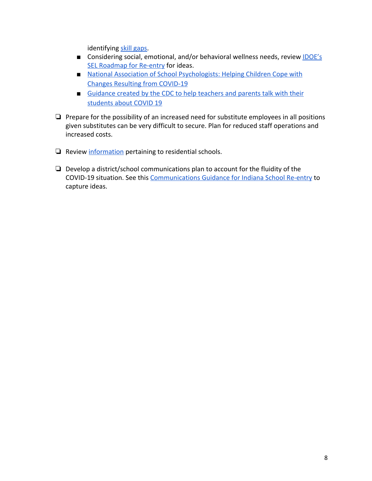identifying [skill gaps](https://docs.google.com/document/d/1htjWw1jwmRkKFfo-YiKge912hN5oWwBk/edit).

- Considering social, emotional, and/or behavioral wellness needs, review [IDOE's](https://docs.google.com/document/d/1W455dK08QPf9v3quZl57N4GJkIe_V3rZ7LqpZw8S2No/edit?usp=sharing) [SEL Roadmap for Re-entry](https://docs.google.com/document/d/1W455dK08QPf9v3quZl57N4GJkIe_V3rZ7LqpZw8S2No/edit?usp=sharing) for ideas.
- [National Association of School Psychologists: Helping Children Cope with](https://www.nasponline.org/resources-and-publications/resources-and-podcasts/school-climate-safety-and-crisis/health-crisis-resources/helping-children-cope-with-changes-resulting-from-covid-19) [Changes Resulting from COVID-19](https://www.nasponline.org/resources-and-publications/resources-and-podcasts/school-climate-safety-and-crisis/health-crisis-resources/helping-children-cope-with-changes-resulting-from-covid-19)
- [Guidance created by the CDC to help teachers and parents talk with their](https://www.cdc.gov/coronavirus/2019-ncov/daily-life-coping/talking-with-children.html) [students about COVID 19](https://www.cdc.gov/coronavirus/2019-ncov/daily-life-coping/talking-with-children.html)
- ❏ Prepare for the possibility of an increased need for substitute employees in all positions given substitutes can be very difficult to secure. Plan for reduced staff operations and increased costs.
- ❏ Review [information](https://www.cdc.gov/coronavirus/2019-ncov/community/shared-congregate-house/guidance-shared-congregate-housing.html) pertaining to residential schools.
- ❏ Develop a district/school communications plan to account for the fluidity of the COVID-19 situation. See this [Communications Guidance for Indiana School Re-entry](https://drive.google.com/file/d/11a_IQsq4zNCPhOQ2VaSPx5nqs2_BeafZ/view?usp=sharing) to capture ideas.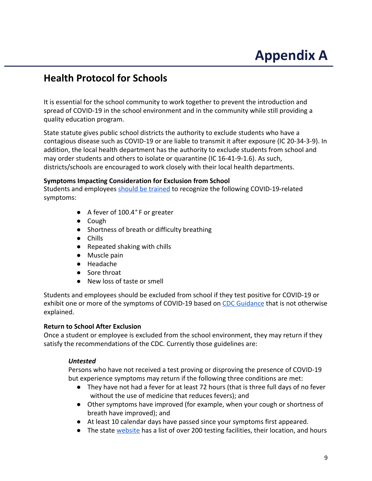# <span id="page-8-0"></span>**Appendix A**

### **Health Protocol for Schools**

It is essential for the school community to work together to prevent the introduction and spread of COVID-19 in the school environment and in the community while still providing a quality education program.

State statute gives public school districts the authority to exclude students who have a contagious disease such as COVID-19 or are liable to transmit it after exposure (IC 20-34-3-9). In addition, the local health department has the authority to exclude students from school and may order students and others to isolate or quarantine (IC 16-41-9-1.6). As such, districts/schools are encouraged to work closely with their local health departments.

### **Symptoms Impacting Consideration for Exclusion from School**

Students and employees [should be trained](https://www.cdc.gov/coronavirus/2019-ncov/communication/print-resources.html?Sort=Date%3A%3Adesc) to recognize the following COVID-19-related symptoms:

- A fever of 100.4*°* F or greater
- Cough
- Shortness of breath or difficulty breathing
- Chills
- Repeated shaking with chills
- Muscle pain
- Headache
- Sore throat
- New loss of taste or smell

Students and employees should be excluded from school if they test positive for COVID-19 or exhibit one or more of the symptoms of COVID-19 based on [CDC Guidance](https://www.cdc.gov/coronavirus/2019-ncov/symptoms-testing/symptoms.html) that is not otherwise explained.

### **Return to School After Exclusion**

Once a student or employee is excluded from the school environment, they may return if they satisfy the recommendations of the CDC. Currently those guidelines are:

### *Untested*

Persons who have not received a test proving or disproving the presence of COVID-19 but experience symptoms may return if the following three conditions are met:

- They have not had a fever for at least 72 hours (that is three full days of no fever without the use of medicine that reduces fevers); and
- Other symptoms have improved (for example, when your cough or shortness of breath have improved); and
- At least 10 calendar days have passed since your symptoms first appeared.
- The state [website](https://www.coronavirus.in.gov/2524.htm) has a list of over 200 testing facilities, their location, and hours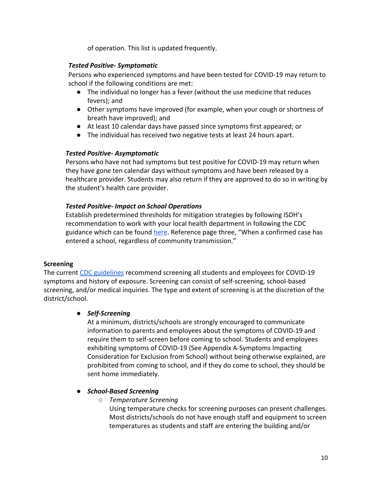of operation. This list is updated frequently.

### *Tested Positive- Symptomatic*

Persons who experienced symptoms and have been tested for COVID-19 may return to school if the following conditions are met:

- The individual no longer has a fever (without the use medicine that reduces fevers); and
- Other symptoms have improved (for example, when your cough or shortness of breath have improved); and
- At least 10 calendar days have passed since symptoms first appeared; or
- The individual has received two negative tests at least 24 hours apart.

### *Tested Positive- Asymptomatic*

Persons who have not had symptoms but test positive for COVID-19 may return when they have gone ten calendar days without symptoms and have been released by a healthcare provider. Students may also return if they are approved to do so in writing by the student's health care provider.

### *Tested Positive- Impact on School Operations*

Establish predetermined thresholds for mitigation strategies by following ISDH's recommendation to work with your local health department in following the CDC guidance which can be found [here](https://www.cdc.gov/coronavirus/2019-ncov/community/schools-childcare/guidance-for-schools-h.pdf). Reference page three, "When a confirmed case has entered a school, regardless of community transmission."

### **Screening**

The current [CDC guidelines](https://www.cdc.gov/coronavirus/2019-ncov/community/schools-childcare/Schools-Decision-Tree.pdf) recommend screening all students and employees for COVID-19 symptoms and history of exposure. Screening can consist of self-screening, school-based screening, and/or medical inquiries. The type and extent of screening is at the discretion of the district/school.

### ● *Self-Screening*

At a minimum, districts/schools are strongly encouraged to communicate information to parents and employees about the symptoms of COVID-19 and require them to self-screen before coming to school. Students and employees exhibiting symptoms of COVID-19 (See Appendix A-Symptoms Impacting Consideration for Exclusion from School) without being otherwise explained, are prohibited from coming to school, and if they do come to school, they should be sent home immediately.

### ● *School-Based Screening*

### ○ *Temperature Screening*

Using temperature checks for screening purposes can present challenges. Most districts/schools do not have enough staff and equipment to screen temperatures as students and staff are entering the building and/or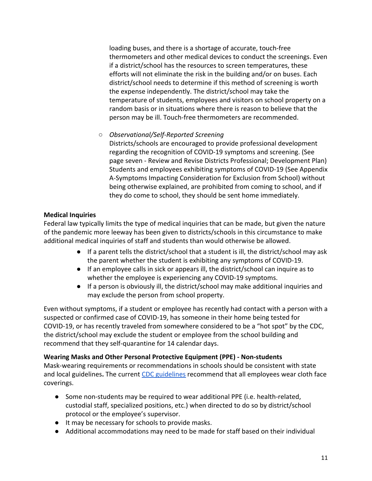loading buses, and there is a shortage of accurate, touch-free thermometers and other medical devices to conduct the screenings. Even if a district/school has the resources to screen temperatures, these efforts will not eliminate the risk in the building and/or on buses. Each district/school needs to determine if this method of screening is worth the expense independently. The district/school may take the temperature of students, employees and visitors on school property on a random basis or in situations where there is reason to believe that the person may be ill. Touch-free thermometers are recommended.

○ *Observational/Self-Reported Screening*

Districts/schools are encouraged to provide professional development regarding the recognition of COVID-19 symptoms and screening. (See page seven - Review and Revise Districts Professional; Development Plan) Students and employees exhibiting symptoms of COVID-19 (See Appendix A-Symptoms Impacting Consideration for Exclusion from School) without being otherwise explained, are prohibited from coming to school, and if they do come to school, they should be sent home immediately.

### **Medical Inquiries**

Federal law typically limits the type of medical inquiries that can be made, but given the nature of the pandemic more leeway has been given to districts/schools in this circumstance to make additional medical inquiries of staff and students than would otherwise be allowed.

- If a parent tells the district/school that a student is ill, the district/school may ask the parent whether the student is exhibiting any symptoms of COVID-19.
- If an employee calls in sick or appears ill, the district/school can inquire as to whether the employee is experiencing any COVID-19 symptoms.
- If a person is obviously ill, the district/school may make additional inquiries and may exclude the person from school property.

Even without symptoms, if a student or employee has recently had contact with a person with a suspected or confirmed case of COVID-19, has someone in their home being tested for COVID-19, or has recently traveled from somewhere considered to be a "hot spot" by the CDC, the district/school may exclude the student or employee from the school building and recommend that they self-quarantine for 14 calendar days.

### **Wearing Masks and Other Personal Protective Equipment (PPE) - Non-students**

Mask-wearing requirements or recommendations in schools should be consistent with state and local guidelines**.** The current [CDC guidelines](https://www.cdc.gov/coronavirus/2019-ncov/community/schools-childcare/Schools-Decision-Tree.pdf) recommend that all employees wear cloth face coverings.

- Some non-students may be required to wear additional PPE (i.e. health-related, custodial staff, specialized positions, etc.) when directed to do so by district/school protocol or the employee's supervisor.
- It may be necessary for schools to provide masks.
- Additional accommodations may need to be made for staff based on their individual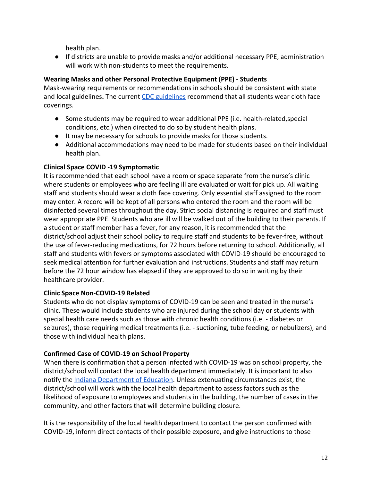health plan.

● If districts are unable to provide masks and/or additional necessary PPE, administration will work with non-students to meet the requirements.

### **Wearing Masks and other Personal Protective Equipment (PPE) - Students**

Mask-wearing requirements or recommendations in schools should be consistent with state and local guidelines**.** The current [CDC guidelines](https://www.cdc.gov/coronavirus/2019-ncov/community/schools-childcare/Schools-Decision-Tree.pdf) recommend that all students wear cloth face coverings.

- Some students may be required to wear additional PPE (i.e. health-related, special conditions, etc.) when directed to do so by student health plans.
- It may be necessary for schools to provide masks for those students.
- Additional accommodations may need to be made for students based on their individual health plan.

### **Clinical Space COVID -19 Symptomatic**

It is recommended that each school have a room or space separate from the nurse's clinic where students or employees who are feeling ill are evaluated or wait for pick up. All waiting staff and students should wear a cloth face covering. Only essential staff assigned to the room may enter. A record will be kept of all persons who entered the room and the room will be disinfected several times throughout the day. Strict social distancing is required and staff must wear appropriate PPE. Students who are ill will be walked out of the building to their parents. If a student or staff member has a fever, for any reason, it is recommended that the district/school adjust their school policy to require staff and students to be fever-free, without the use of fever-reducing medications, for 72 hours before returning to school. Additionally, all staff and students with fevers or symptoms associated with COVID-19 should be encouraged to seek medical attention for further evaluation and instructions. Students and staff may return before the 72 hour window has elapsed if they are approved to do so in writing by their healthcare provider.

### **Clinic Space Non-COVID-19 Related**

Students who do not display symptoms of COVID-19 can be seen and treated in the nurse's clinic. These would include students who are injured during the school day or students with special health care needs such as those with chronic health conditions (i.e. - diabetes or seizures), those requiring medical treatments (i.e. - suctioning, tube feeding, or nebulizers), and those with individual health plans.

### **Confirmed Case of COVID-19 on School Property**

When there is confirmation that a person infected with COVID-19 was on school property, the district/school will contact the local health department immediately. It is important to also notify the [Indiana Department of Education.](http://form.jotform.com/200633480080950) Unless extenuating circumstances exist, the district/school will work with the local health department to assess factors such as the likelihood of exposure to employees and students in the building, the number of cases in the community, and other factors that will determine building closure.

It is the responsibility of the local health department to contact the person confirmed with COVID-19, inform direct contacts of their possible exposure, and give instructions to those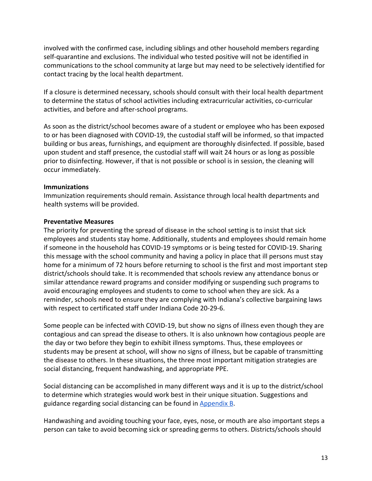involved with the confirmed case, including siblings and other household members regarding self-quarantine and exclusions. The individual who tested positive will not be identified in communications to the school community at large but may need to be selectively identified for contact tracing by the local health department.

If a closure is determined necessary, schools should consult with their local health department to determine the status of school activities including extracurricular activities, co-curricular activities, and before and after-school programs.

As soon as the district/school becomes aware of a student or employee who has been exposed to or has been diagnosed with COVID-19, the custodial staff will be informed, so that impacted building or bus areas, furnishings, and equipment are thoroughly disinfected. If possible, based upon student and staff presence, the custodial staff will wait 24 hours or as long as possible prior to disinfecting. However, if that is not possible or school is in session, the cleaning will occur immediately.

### **Immunizations**

Immunization requirements should remain. Assistance through local health departments and health systems will be provided.

### **Preventative Measures**

The priority for preventing the spread of disease in the school setting is to insist that sick employees and students stay home. Additionally, students and employees should remain home if someone in the household has COVID-19 symptoms or is being tested for COVID-19. Sharing this message with the school community and having a policy in place that ill persons must stay home for a minimum of 72 hours before returning to school is the first and most important step district/schools should take. It is recommended that schools review any attendance bonus or similar attendance reward programs and consider modifying or suspending such programs to avoid encouraging employees and students to come to school when they are sick. As a reminder, schools need to ensure they are complying with Indiana's collective bargaining laws with respect to certificated staff under Indiana Code 20-29-6.

Some people can be infected with COVID-19, but show no signs of illness even though they are contagious and can spread the disease to others. It is also unknown how contagious people are the day or two before they begin to exhibit illness symptoms. Thus, these employees or students may be present at school, will show no signs of illness, but be capable of transmitting the disease to others. In these situations, the three most important mitigation strategies are social distancing, frequent handwashing, and appropriate PPE.

Social distancing can be accomplished in many different ways and it is up to the district/school to determine which strategies would work best in their unique situation. Suggestions and guidance regarding social distancing can be found in **[Appendix B](#page-14-0)**.

Handwashing and avoiding touching your face, eyes, nose, or mouth are also important steps a person can take to avoid becoming sick or spreading germs to others. Districts/schools should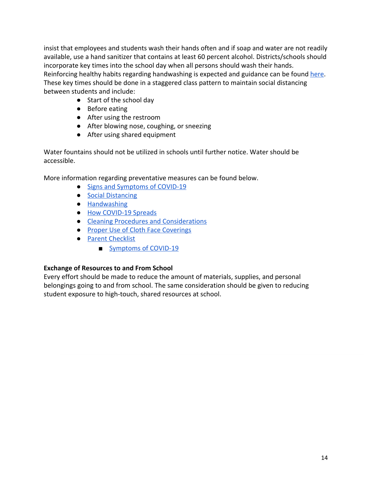insist that employees and students wash their hands often and if soap and water are not readily available, use a hand sanitizer that contains at least 60 percent alcohol. Districts/schools should incorporate key times into the school day when all persons should wash their hands. Reinforcing healthy habits regarding handwashing is expected and guidance can be found [here](https://www.cdc.gov/handwashing/). These key times should be done in a staggered class pattern to maintain social distancing between students and include:

- Start of the school day
- Before eating
- After using the restroom
- After blowing nose, coughing, or sneezing
- After using shared equipment

Water fountains should not be utilized in schools until further notice. Water should be accessible.

More information regarding preventative measures can be found below.

- [Signs and Symptoms of COVID-19](https://www.cdc.gov/coronavirus/2019-ncov/symptoms-testing/symptoms.html)
- [Social Distancing](https://www.cdc.gov/coronavirus/2019-ncov/prevent-getting-sick/social-distancing.html)
- [Handwashing](https://www.cdc.gov/handwashing/)
- [How COVID-19 Spreads](https://www.cdc.gov/coronavirus/2019-ncov/prevent-getting-sick/how-covid-spreads.html)
- [Cleaning Procedures and Considerations](https://www.cdc.gov/coronavirus/2019-ncov/community/reopen-guidance.html)
- [Proper Use of Cloth Face Coverings](https://www.cdc.gov/coronavirus/2019-ncov/prevent-getting-sick/diy-cloth-face-coverings.html)
- [Parent Checklist](https://www.cdc.gov/coronavirus/2019-ncov/downloads/schools-checklist-parents.pdf)
	- [Symptoms of COVID-19](https://www.cdc.gov/coronavirus/2019-ncov/downloads/COVID19-symptoms.pdf)

### **Exchange of Resources to and From School**

Every effort should be made to reduce the amount of materials, supplies, and personal belongings going to and from school. The same consideration should be given to reducing student exposure to high-touch, shared resources at school.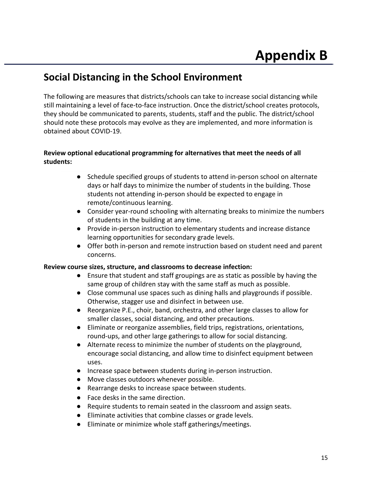### <span id="page-14-0"></span>**Social Distancing in the School Environment**

The following are measures that districts/schools can take to increase social distancing while still maintaining a level of face-to-face instruction. Once the district/school creates protocols, they should be communicated to parents, students, staff and the public. The district/school should note these protocols may evolve as they are implemented, and more information is obtained about COVID-19.

### **Review optional educational programming for alternatives that meet the needs of all students:**

- Schedule specified groups of students to attend in-person school on alternate days or half days to minimize the number of students in the building. Those students not attending in-person should be expected to engage in remote/continuous learning.
- Consider year-round schooling with alternating breaks to minimize the numbers of students in the building at any time.
- Provide in-person instruction to elementary students and increase distance learning opportunities for secondary grade levels.
- Offer both in-person and remote instruction based on student need and parent concerns.

### **Review course sizes, structure, and classrooms to decrease infection:**

- Ensure that student and staff groupings are as static as possible by having the same group of children stay with the same staff as much as possible.
- Close communal use spaces such as dining halls and playgrounds if possible. Otherwise, stagger use and disinfect in between use.
- Reorganize P.E., choir, band, orchestra, and other large classes to allow for smaller classes, social distancing, and other precautions.
- Eliminate or reorganize assemblies, field trips, registrations, orientations, round-ups, and other large gatherings to allow for social distancing.
- Alternate recess to minimize the number of students on the playground, encourage social distancing, and allow time to disinfect equipment between uses.
- Increase space between students during in-person instruction.
- Move classes outdoors whenever possible.
- Rearrange desks to increase space between students.
- Face desks in the same direction.
- Require students to remain seated in the classroom and assign seats.
- Eliminate activities that combine classes or grade levels.
- Eliminate or minimize whole staff gatherings/meetings.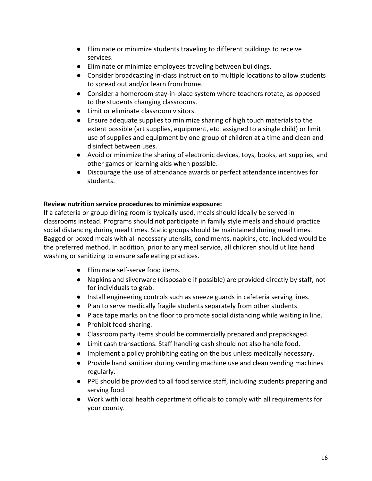- Eliminate or minimize students traveling to different buildings to receive services.
- Eliminate or minimize employees traveling between buildings.
- Consider broadcasting in-class instruction to multiple locations to allow students to spread out and/or learn from home.
- Consider a homeroom stay-in-place system where teachers rotate, as opposed to the students changing classrooms.
- Limit or eliminate classroom visitors.
- Ensure adequate supplies to minimize sharing of high touch materials to the extent possible (art supplies, equipment, etc. assigned to a single child) or limit use of supplies and equipment by one group of children at a time and clean and disinfect between uses.
- Avoid or minimize the sharing of electronic devices, toys, books, art supplies, and other games or learning aids when possible.
- Discourage the use of attendance awards or perfect attendance incentives for students.

### **Review nutrition service procedures to minimize exposure:**

If a cafeteria or group dining room is typically used, meals should ideally be served in classrooms instead. Programs should not participate in family style meals and should practice social distancing during meal times. Static groups should be maintained during meal times. Bagged or boxed meals with all necessary utensils, condiments, napkins, etc. included would be the preferred method. In addition, prior to any meal service, all children should utilize hand washing or sanitizing to ensure safe eating practices.

- Eliminate self-serve food items.
- Napkins and silverware (disposable if possible) are provided directly by staff, not for individuals to grab.
- Install engineering controls such as sneeze guards in cafeteria serving lines.
- Plan to serve medically fragile students separately from other students.
- Place tape marks on the floor to promote social distancing while waiting in line.
- Prohibit food-sharing.
- Classroom party items should be commercially prepared and prepackaged.
- Limit cash transactions. Staff handling cash should not also handle food.
- Implement a policy prohibiting eating on the bus unless medically necessary.
- Provide hand sanitizer during vending machine use and clean vending machines regularly.
- PPE should be provided to all food service staff, including students preparing and serving food.
- Work with local health department officials to comply with all requirements for your county.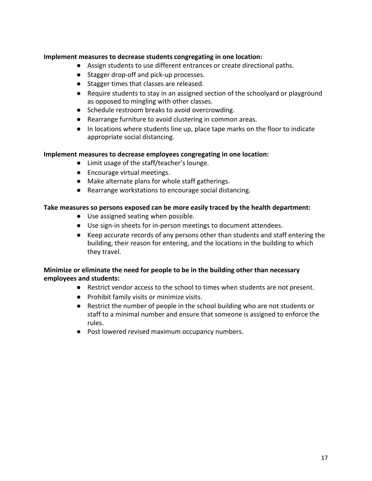### **Implement measures to decrease students congregating in one location:**

- Assign students to use different entrances or create directional paths.
- Stagger drop-off and pick-up processes.
- Stagger times that classes are released.
- Require students to stay in an assigned section of the schoolyard or playground as opposed to mingling with other classes.
- Schedule restroom breaks to avoid overcrowding.
- Rearrange furniture to avoid clustering in common areas.
- In locations where students line up, place tape marks on the floor to indicate appropriate social distancing.

### **Implement measures to decrease employees congregating in one location:**

- Limit usage of the staff/teacher's lounge.
- Encourage virtual meetings.
- Make alternate plans for whole staff gatherings.
- Rearrange workstations to encourage social distancing.

### **Take measures so persons exposed can be more easily traced by the health department:**

- Use assigned seating when possible.
- Use sign-in sheets for in-person meetings to document attendees.
- Keep accurate records of any persons other than students and staff entering the building, their reason for entering, and the locations in the building to which they travel.

### **Minimize or eliminate the need for people to be in the building other than necessary employees and students:**

- Restrict vendor access to the school to times when students are not present.
- Prohibit family visits or minimize visits.
- Restrict the number of people in the school building who are not students or staff to a minimal number and ensure that someone is assigned to enforce the rules.
- Post lowered revised maximum occupancy numbers.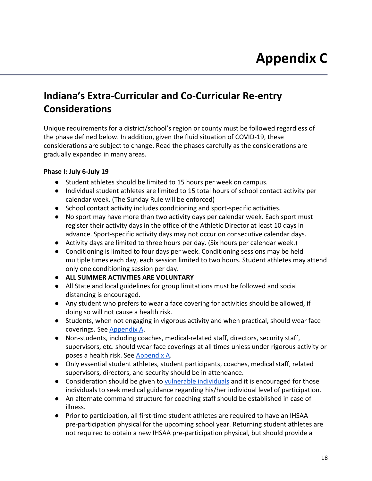### <span id="page-17-0"></span>**Indiana's Extra-Curricular and Co-Curricular Re-entry Considerations**

Unique requirements for a district/school's region or county must be followed regardless of the phase defined below. In addition, given the fluid situation of COVID-19, these considerations are subject to change. Read the phases carefully as the considerations are gradually expanded in many areas.

### **Phase I: July 6-July 19**

- Student athletes should be limited to 15 hours per week on campus.
- Individual student athletes are limited to 15 total hours of school contact activity per calendar week. (The Sunday Rule will be enforced)
- School contact activity includes conditioning and sport-specific activities.
- No sport may have more than two activity days per calendar week. Each sport must register their activity days in the office of the Athletic Director at least 10 days in advance. Sport-specific activity days may not occur on consecutive calendar days.
- Activity days are limited to three hours per day. (Six hours per calendar week.)
- Conditioning is limited to four days per week. Conditioning sessions may be held multiple times each day, each session limited to two hours. Student athletes may attend only one conditioning session per day.
- **ALL SUMMER ACTIVITIES ARE VOLUNTARY**
- All State and local guidelines for group limitations must be followed and social distancing is encouraged.
- Any student who prefers to wear a face covering for activities should be allowed, if doing so will not cause a health risk.
- Students, when not engaging in vigorous activity and when practical, should wear face coverings. See [Appendix A](https://docs.google.com/document/d/1Pr810TJJvDNup4SwWf4Gpi0t7v-JhQQ-RwuzdsdHQF8/edit#heading=h.tarkiss5j195).
- Non-students, including coaches, medical-related staff, directors, security staff, supervisors, etc. should wear face coverings at all times unless under rigorous activity or poses a health risk. See [Appendix A.](https://docs.google.com/document/d/1Pr810TJJvDNup4SwWf4Gpi0t7v-JhQQ-RwuzdsdHQF8/edit#heading=h.tarkiss5j195)
- Only essential student athletes, student participants, coaches, medical staff, related supervisors, directors, and security should be in attendance.
- Consideration should be given to [vulnerable individuals](https://www.cdc.gov/coronavirus/2019-ncov/need-extra-precautions/people-at-higher-risk.html) and it is encouraged for those individuals to seek medical guidance regarding his/her individual level of participation.
- An alternate command structure for coaching staff should be established in case of illness.
- Prior to participation, all first-time student athletes are required to have an IHSAA pre-participation physical for the upcoming school year. Returning student athletes are not required to obtain a new IHSAA pre-participation physical, but should provide a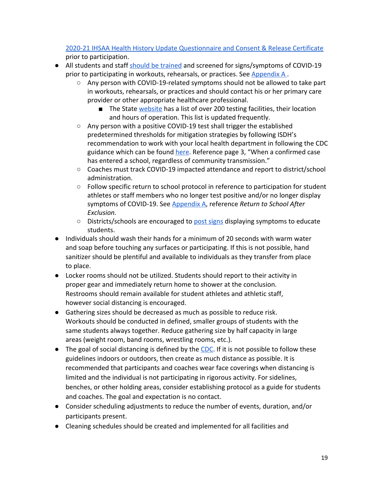[2020-21 IHSAA Health History Update Questionnaire and Consent & Release Certificate](https://drive.google.com/file/d/1pX0czAG5I3kiKZwgaIAJ6nKRVRBqypS5/view) prior to participation.

- All students and staff [should be trained](https://www.cdc.gov/coronavirus/2019-ncov/communication/print-resources.html?Sort=Date%3A%3Adesc) and screened for signs/symptoms of COVID-19 prior to participating in workouts, rehearsals, or practices. See Appendix A.
	- Any person with COVID-19-related symptoms should not be allowed to take part in workouts, rehearsals, or practices and should contact his or her primary care provider or other appropriate healthcare professional.
		- The State [website](https://www.coronavirus.in.gov/2524.htm) has a list of over 200 testing facilities, their location and hours of operation. This list is updated frequently.
	- Any person with a positive COVID-19 test shall trigger the established predetermined thresholds for mitigation strategies by following ISDH's recommendation to work with your local health department in following the CDC guidance which can be found [here](https://www.cdc.gov/coronavirus/2019-ncov/community/schools-childcare/guidance-for-schools-h.pdf). Reference page 3, "When a confirmed case has entered a school, regardless of community transmission."
	- Coaches must track COVID-19 impacted attendance and report to district/school administration.
	- Follow specific return to school protocol in reference to participation for student athletes or staff members who no longer test positive and/or no longer display symptoms of COVID-19. See [Appendix A](https://docs.google.com/document/d/1Pr810TJJvDNup4SwWf4Gpi0t7v-JhQQ-RwuzdsdHQF8/edit#heading=h.tarkiss5j195), reference *Return to School After Exclusion.*
	- Districts/schools are encouraged to [post signs](https://www.cdc.gov/coronavirus/2019-ncov/communication/print-resources.html?Sort=Date%3A%3Adesc) displaying symptoms to educate students.
- **●** Individuals should wash their hands for a minimum of 20 seconds with warm water and soap before touching any surfaces or participating. If this is not possible, hand sanitizer should be plentiful and available to individuals as they transfer from place to place.
- **●** Locker rooms should not be utilized. Students should report to their activity in proper gear and immediately return home to shower at the conclusion. Restrooms should remain available for student athletes and athletic staff, however social distancing is encouraged.
- **●** Gathering sizes should be decreased as much as possible to reduce risk. Workouts should be conducted in defined, smaller groups of students with the same students always together. Reduce gathering size by half capacity in large areas (weight room, band rooms, wrestling rooms, etc.).
- $\bullet$  The goal of social distancing is defined by the [CDC.](https://www.cdc.gov/coronavirus/2019-ncov/prevent-getting-sick/social-distancing.html) If it is not possible to follow these guidelines indoors or outdoors, then create as much distance as possible. It is recommended that participants and coaches wear face coverings when distancing is limited and the individual is not participating in rigorous activity. For sidelines, benches, or other holding areas, consider establishing protocol as a guide for students and coaches. The goal and expectation is no contact.
- Consider scheduling adjustments to reduce the number of events, duration, and/or participants present.
- Cleaning schedules should be created and implemented for all facilities and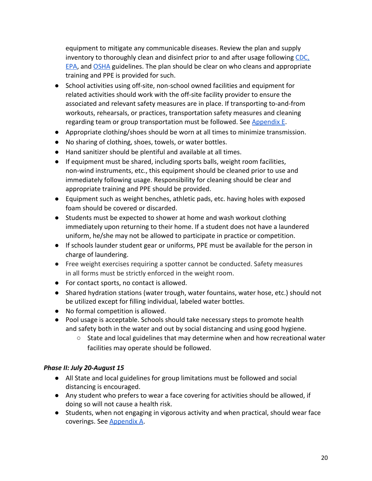equipment to mitigate any communicable diseases. Review the plan and supply inventory to thoroughly clean and disinfect prior to and after usage following [CDC,](https://www.cdc.gov/coronavirus/2019-ncov/community/pdf/Reopening_America_Guidance.pdf) [EPA](https://www.cdc.gov/coronavirus/2019-ncov/community/pdf/Reopening_America_Guidance.pdf), and [OSHA](https://www.osha.gov/Publications/OSHA3990.pdf) guidelines. The plan should be clear on who cleans and appropriate training and PPE is provided for such.

- School activities using off-site, non-school owned facilities and equipment for related activities should work with the off-site facility provider to ensure the associated and relevant safety measures are in place. If transporting to-and-from workouts, rehearsals, or practices, transportation safety measures and cleaning regarding team or group transportation must be followed. See [Appendix E.](https://docs.google.com/document/d/1Pr810TJJvDNup4SwWf4Gpi0t7v-JhQQ-RwuzdsdHQF8/edit#)
- Appropriate clothing/shoes should be worn at all times to minimize transmission.
- No sharing of clothing, shoes, towels, or water bottles.
- Hand sanitizer should be plentiful and available at all times.
- If equipment must be shared, including sports balls, weight room facilities, non-wind instruments, etc., this equipment should be cleaned prior to use and immediately following usage. Responsibility for cleaning should be clear and appropriate training and PPE should be provided.
- Equipment such as weight benches, athletic pads, etc. having holes with exposed foam should be covered or discarded.
- Students must be expected to shower at home and wash workout clothing immediately upon returning to their home. If a student does not have a laundered uniform, he/she may not be allowed to participate in practice or competition.
- If schools launder student gear or uniforms, PPE must be available for the person in charge of laundering.
- Free weight exercises requiring a spotter cannot be conducted. Safety measures in all forms must be strictly enforced in the weight room.
- **●** For contact sports, no contact is allowed.
- Shared hydration stations (water trough, water fountains, water hose, etc.) should not be utilized except for filling individual, labeled water bottles.
- No formal competition is allowed.
- Pool usage is acceptable. Schools should take necessary steps to promote health and safety both in the water and out by social distancing and using good hygiene.
	- State and local guidelines that may determine when and how recreational water facilities may operate should be followed.

### *Phase II: July 20-August 15*

- All State and local guidelines for group limitations must be followed and social distancing is encouraged.
- Any student who prefers to wear a face covering for activities should be allowed, if doing so will not cause a health risk.
- Students, when not engaging in vigorous activity and when practical, should wear face coverings. See [Appendix A](https://docs.google.com/document/d/1Pr810TJJvDNup4SwWf4Gpi0t7v-JhQQ-RwuzdsdHQF8/edit#heading=h.tarkiss5j195).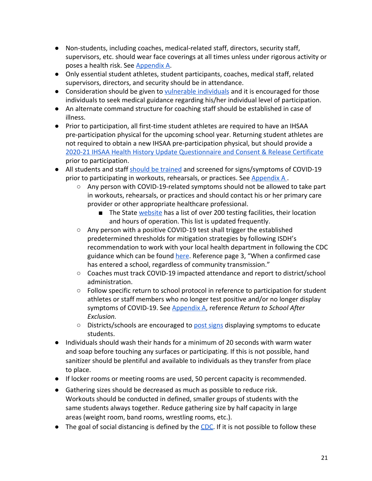- Non-students, including coaches, medical-related staff, directors, security staff, supervisors, etc. should wear face coverings at all times unless under rigorous activity or poses a health risk. See [Appendix A.](https://docs.google.com/document/d/1Pr810TJJvDNup4SwWf4Gpi0t7v-JhQQ-RwuzdsdHQF8/edit#heading=h.tarkiss5j195)
- Only essential student athletes, student participants, coaches, medical staff, related supervisors, directors, and security should be in attendance.
- Consideration should be given to [vulnerable individuals](https://www.cdc.gov/coronavirus/2019-ncov/need-extra-precautions/people-at-higher-risk.html) and it is encouraged for those individuals to seek medical guidance regarding his/her individual level of participation.
- An alternate command structure for coaching staff should be established in case of illness.
- Prior to participation, all first-time student athletes are required to have an IHSAA pre-participation physical for the upcoming school year. Returning student athletes are not required to obtain a new IHSAA pre-participation physical, but should provide a [2020-21 IHSAA Health History Update Questionnaire and Consent & Release Certificate](https://drive.google.com/file/d/1pX0czAG5I3kiKZwgaIAJ6nKRVRBqypS5/view) prior to participation.
- All students and staff [should be trained](https://www.cdc.gov/coronavirus/2019-ncov/communication/print-resources.html?Sort=Date%3A%3Adesc) and screened for signs/symptoms of COVID-19 prior to participating in workouts, rehearsals, or practices. See Appendix A.
	- Any person with COVID-19-related symptoms should not be allowed to take part in workouts, rehearsals, or practices and should contact his or her primary care provider or other appropriate healthcare professional.
		- The State [website](https://www.coronavirus.in.gov/2524.htm) has a list of over 200 testing facilities, their location and hours of operation. This list is updated frequently.
	- Any person with a positive COVID-19 test shall trigger the established predetermined thresholds for mitigation strategies by following ISDH's recommendation to work with your local health department in following the CDC guidance which can be found [here](https://www.cdc.gov/coronavirus/2019-ncov/community/schools-childcare/guidance-for-schools-h.pdf). Reference page 3, "When a confirmed case has entered a school, regardless of community transmission."
	- Coaches must track COVID-19 impacted attendance and report to district/school administration.
	- Follow specific return to school protocol in reference to participation for student athletes or staff members who no longer test positive and/or no longer display symptoms of COVID-19. See [Appendix A](https://docs.google.com/document/d/1Pr810TJJvDNup4SwWf4Gpi0t7v-JhQQ-RwuzdsdHQF8/edit#heading=h.tarkiss5j195), reference *Return to School After Exclusion.*
	- $\circ$  Districts/schools are encouraged to [post signs](https://www.cdc.gov/coronavirus/2019-ncov/communication/print-resources.html?Sort=Date%3A%3Adesc) displaying symptoms to educate students.
- Individuals should wash their hands for a minimum of 20 seconds with warm water and soap before touching any surfaces or participating. If this is not possible, hand sanitizer should be plentiful and available to individuals as they transfer from place to place.
- If locker rooms or meeting rooms are used, 50 percent capacity is recommended.
- Gathering sizes should be decreased as much as possible to reduce risk. Workouts should be conducted in defined, smaller groups of students with the same students always together. Reduce gathering size by half capacity in large areas (weight room, band rooms, wrestling rooms, etc.).
- $\bullet$  The goal of social distancing is defined by the [CDC.](https://www.cdc.gov/coronavirus/2019-ncov/prevent-getting-sick/social-distancing.html) If it is not possible to follow these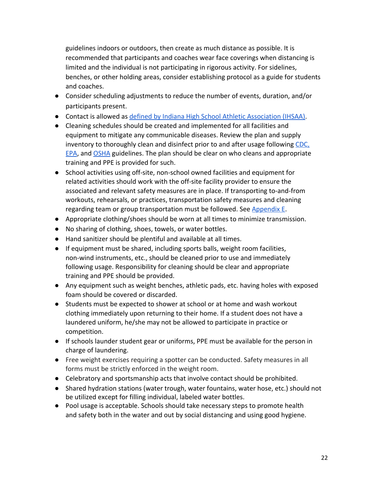guidelines indoors or outdoors, then create as much distance as possible. It is recommended that participants and coaches wear face coverings when distancing is limited and the individual is not participating in rigorous activity. For sidelines, benches, or other holding areas, consider establishing protocol as a guide for students and coaches.

- Consider scheduling adjustments to reduce the number of events, duration, and/or participants present.
- Contact is allowed as [defined by Indiana High School Athletic Association \(IHSAA\)](https://ihsaa.org/Portals/0/ihsaa/documents/about%20ihsaa/2019-20%20By%20Laws.pdf).
- Cleaning schedules should be created and implemented for all facilities and equipment to mitigate any communicable diseases. Review the plan and supply inventory to thoroughly clean and disinfect prior to and after usage following [CDC,](https://www.cdc.gov/coronavirus/2019-ncov/community/pdf/Reopening_America_Guidance.pdf) [EPA](https://www.cdc.gov/coronavirus/2019-ncov/community/pdf/Reopening_America_Guidance.pdf), and [OSHA](https://www.osha.gov/Publications/OSHA3990.pdf) guidelines. The plan should be clear on who cleans and appropriate training and PPE is provided for such.
- School activities using off-site, non-school owned facilities and equipment for related activities should work with the off-site facility provider to ensure the associated and relevant safety measures are in place. If transporting to-and-from workouts, rehearsals, or practices, transportation safety measures and cleaning regarding team or group transportation must be followed. See [Appendix E.](https://docs.google.com/document/d/1Pr810TJJvDNup4SwWf4Gpi0t7v-JhQQ-RwuzdsdHQF8/edit#)
- Appropriate clothing/shoes should be worn at all times to minimize transmission.
- No sharing of clothing, shoes, towels, or water bottles.
- Hand sanitizer should be plentiful and available at all times.
- If equipment must be shared, including sports balls, weight room facilities, non-wind instruments, etc., should be cleaned prior to use and immediately following usage. Responsibility for cleaning should be clear and appropriate training and PPE should be provided.
- Any equipment such as weight benches, athletic pads, etc. having holes with exposed foam should be covered or discarded.
- Students must be expected to shower at school or at home and wash workout clothing immediately upon returning to their home. If a student does not have a laundered uniform, he/she may not be allowed to participate in practice or competition.
- If schools launder student gear or uniforms, PPE must be available for the person in charge of laundering.
- Free weight exercises requiring a spotter can be conducted. Safety measures in all forms must be strictly enforced in the weight room.
- Celebratory and sportsmanship acts that involve contact should be prohibited.
- Shared hydration stations (water trough, water fountains, water hose, etc.) should not be utilized except for filling individual, labeled water bottles.
- Pool usage is acceptable. Schools should take necessary steps to promote health and safety both in the water and out by social distancing and using good hygiene.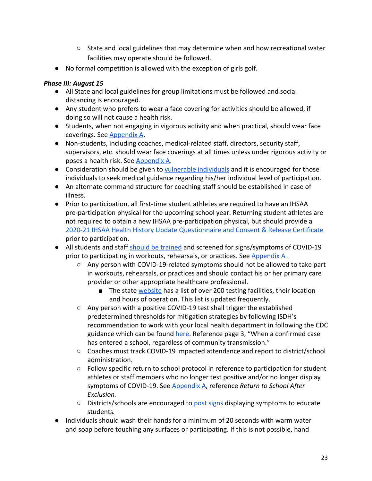- State and local guidelines that may determine when and how recreational water facilities may operate should be followed.
- No formal competition is allowed with the exception of girls golf.

### *Phase III: August 15*

- All State and local guidelines for group limitations must be followed and social distancing is encouraged.
- Any student who prefers to wear a face covering for activities should be allowed, if doing so will not cause a health risk.
- Students, when not engaging in vigorous activity and when practical, should wear face coverings. See [Appendix A](https://docs.google.com/document/d/1Pr810TJJvDNup4SwWf4Gpi0t7v-JhQQ-RwuzdsdHQF8/edit#heading=h.tarkiss5j195).
- Non-students, including coaches, medical-related staff, directors, security staff, supervisors, etc. should wear face coverings at all times unless under rigorous activity or poses a health risk. See [Appendix A.](https://docs.google.com/document/d/1Pr810TJJvDNup4SwWf4Gpi0t7v-JhQQ-RwuzdsdHQF8/edit#heading=h.tarkiss5j195)
- Consideration should be given to [vulnerable individuals](https://www.cdc.gov/coronavirus/2019-ncov/need-extra-precautions/people-at-higher-risk.html) and it is encouraged for those individuals to seek medical guidance regarding his/her individual level of participation.
- An alternate command structure for coaching staff should be established in case of illness.
- Prior to participation, all first-time student athletes are required to have an IHSAA pre-participation physical for the upcoming school year. Returning student athletes are not required to obtain a new IHSAA pre-participation physical, but should provide a [2020-21 IHSAA Health History Update Questionnaire and Consent & Release Certificate](https://drive.google.com/file/d/1pX0czAG5I3kiKZwgaIAJ6nKRVRBqypS5/view) prior to participation.
- All students and staff [should be trained](https://www.cdc.gov/coronavirus/2019-ncov/communication/print-resources.html?Sort=Date%3A%3Adesc) and screened for signs/symptoms of COVID-19 prior to participating in workouts, rehearsals, or practices. See Appendix A.
	- Any person with COVID-19-related symptoms should not be allowed to take part in workouts, rehearsals, or practices and should contact his or her primary care provider or other appropriate healthcare professional.
		- The state [website](https://www.coronavirus.in.gov/2524.htm) has a list of over 200 testing facilities, their location and hours of operation. This list is updated frequently.
	- Any person with a positive COVID-19 test shall trigger the established predetermined thresholds for mitigation strategies by following ISDH's recommendation to work with your local health department in following the CDC guidance which can be found [here](https://www.cdc.gov/coronavirus/2019-ncov/community/schools-childcare/guidance-for-schools-h.pdf). Reference page 3, "When a confirmed case has entered a school, regardless of community transmission."
	- Coaches must track COVID-19 impacted attendance and report to district/school administration.
	- Follow specific return to school protocol in reference to participation for student athletes or staff members who no longer test positive and/or no longer display symptoms of COVID-19. See [Appendix A](https://docs.google.com/document/d/1Pr810TJJvDNup4SwWf4Gpi0t7v-JhQQ-RwuzdsdHQF8/edit#heading=h.tarkiss5j195), reference *Return to School After Exclusion.*
	- $\circ$  Districts/schools are encouraged to [post signs](https://www.cdc.gov/coronavirus/2019-ncov/communication/print-resources.html?Sort=Date%3A%3Adesc) displaying symptoms to educate students*.*
- *●* Individuals should wash their hands for a minimum of 20 seconds with warm water and soap before touching any surfaces or participating. If this is not possible, hand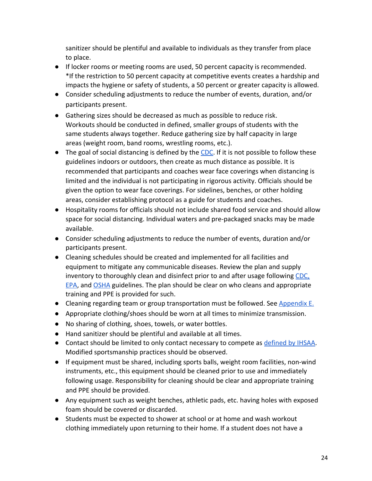sanitizer should be plentiful and available to individuals as they transfer from place to place.

- *●* If locker rooms or meeting rooms are used, 50 percent capacity is recommended. \*If the restriction to 50 percent capacity at competitive events creates a hardship and impacts the hygiene or safety of students, a 50 percent or greater capacity is allowed.
- Consider scheduling adjustments to reduce the number of events, duration, and/or participants present.
- Gathering sizes should be decreased as much as possible to reduce risk. Workouts should be conducted in defined, smaller groups of students with the same students always together. Reduce gathering size by half capacity in large areas (weight room, band rooms, wrestling rooms, etc.).
- $\bullet$  The goal of social distancing is defined by the [CDC.](https://www.cdc.gov/coronavirus/2019-ncov/prevent-getting-sick/social-distancing.html) If it is not possible to follow these guidelines indoors or outdoors, then create as much distance as possible. It is recommended that participants and coaches wear face coverings when distancing is limited and the individual is not participating in rigorous activity. Officials should be given the option to wear face coverings. For sidelines, benches, or other holding areas, consider establishing protocol as a guide for students and coaches.
- Hospitality rooms for officials should not include shared food service and should allow space for social distancing. Individual waters and pre-packaged snacks may be made available.
- Consider scheduling adjustments to reduce the number of events, duration and/or participants present.
- Cleaning schedules should be created and implemented for all facilities and equipment to mitigate any communicable diseases. Review the plan and supply inventory to thoroughly clean and disinfect prior to and after usage following [CDC,](https://www.cdc.gov/coronavirus/2019-ncov/community/pdf/Reopening_America_Guidance.pdf) [EPA](https://www.cdc.gov/coronavirus/2019-ncov/community/pdf/Reopening_America_Guidance.pdf), and [OSHA](https://www.osha.gov/Publications/OSHA3990.pdf) guidelines. The plan should be clear on who cleans and appropriate training and PPE is provided for such.
- Cleaning regarding team or group transportation must be followed. See [Appendix E.](https://docs.google.com/document/d/1Pr810TJJvDNup4SwWf4Gpi0t7v-JhQQ-RwuzdsdHQF8/edit#)
- Appropriate clothing/shoes should be worn at all times to minimize transmission.
- No sharing of clothing, shoes, towels, or water bottles.
- Hand sanitizer should be plentiful and available at all times.
- Contact should be limited to only contact necessary to compete as [defined by IHSAA](https://ihsaa.org/Portals/0/ihsaa/documents/about%20ihsaa/2019-20%20By%20Laws.pdf). Modified sportsmanship practices should be observed.
- If equipment must be shared, including sports balls, weight room facilities, non-wind instruments, etc., this equipment should be cleaned prior to use and immediately following usage. Responsibility for cleaning should be clear and appropriate training and PPE should be provided.
- Any equipment such as weight benches, athletic pads, etc. having holes with exposed foam should be covered or discarded.
- Students must be expected to shower at school or at home and wash workout clothing immediately upon returning to their home. If a student does not have a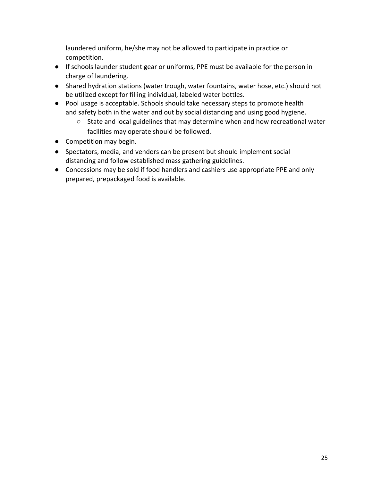laundered uniform, he/she may not be allowed to participate in practice or competition.

- If schools launder student gear or uniforms, PPE must be available for the person in charge of laundering.
- Shared hydration stations (water trough, water fountains, water hose, etc.) should not be utilized except for filling individual, labeled water bottles.
- Pool usage is acceptable. Schools should take necessary steps to promote health and safety both in the water and out by social distancing and using good hygiene.
	- State and local guidelines that may determine when and how recreational water facilities may operate should be followed.
- Competition may begin.
- Spectators, media, and vendors can be present but should implement social distancing and follow established mass gathering guidelines.
- Concessions may be sold if food handlers and cashiers use appropriate PPE and only prepared, prepackaged food is available.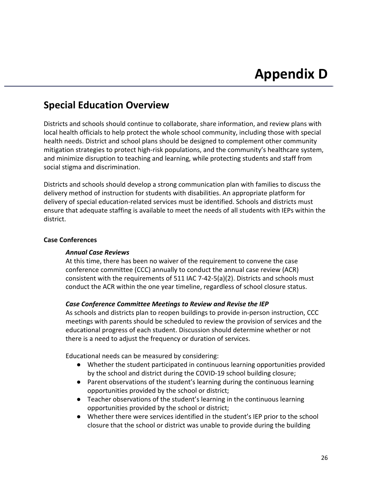### <span id="page-25-0"></span>**Special Education Overview**

Districts and schools should continue to collaborate, share information, and review plans with local health officials to help protect the whole school community, including those with special health needs. District and school plans should be designed to complement other community mitigation strategies to protect high-risk populations, and the community's healthcare system, and minimize disruption to teaching and learning, while protecting students and staff from social stigma and discrimination.

Districts and schools should develop a strong communication plan with families to discuss the delivery method of instruction for students with disabilities. An appropriate platform for delivery of special education-related services must be identified. Schools and districts must ensure that adequate staffing is available to meet the needs of all students with IEPs within the district.

### **Case Conferences**

### *Annual Case Reviews*

At this time, there has been no waiver of the requirement to convene the case conference committee (CCC) annually to conduct the annual case review (ACR) consistent with the requirements of 511 IAC 7-42-5(a)(2). Districts and schools must conduct the ACR within the one year timeline, regardless of school closure status.

### *Case Conference Committee Meetings to Review and Revise the IEP*

As schools and districts plan to reopen buildings to provide in-person instruction, CCC meetings with parents should be scheduled to review the provision of services and the educational progress of each student. Discussion should determine whether or not there is a need to adjust the frequency or duration of services.

Educational needs can be measured by considering:

- Whether the student participated in continuous learning opportunities provided by the school and district during the COVID-19 school building closure;
- Parent observations of the student's learning during the continuous learning opportunities provided by the school or district;
- Teacher observations of the student's learning in the continuous learning opportunities provided by the school or district;
- Whether there were services identified in the student's IEP prior to the school closure that the school or district was unable to provide during the building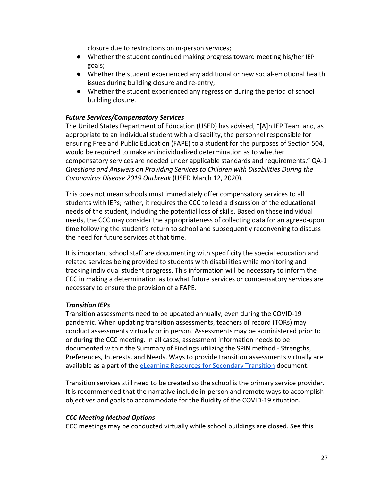closure due to restrictions on in-person services;

- Whether the student continued making progress toward meeting his/her IEP goals;
- Whether the student experienced any additional or new social-emotional health issues during building closure and re-entry;
- Whether the student experienced any regression during the period of school building closure.

### *Future Services/Compensatory Services*

The United States Department of Education (USED) has advised, "[A]n IEP Team and, as appropriate to an individual student with a disability, the personnel responsible for ensuring Free and Public Education (FAPE) to a student for the purposes of Section 504, would be required to make an individualized determination as to whether compensatory services are needed under applicable standards and requirements." QA-1 *Questions and Answers on Providing Services to Children with Disabilities During the Coronavirus Disease 2019 Outbreak* (USED March 12, 2020).

This does not mean schools must immediately offer compensatory services to all students with IEPs; rather, it requires the CCC to lead a discussion of the educational needs of the student, including the potential loss of skills. Based on these individual needs, the CCC may consider the appropriateness of collecting data for an agreed-upon time following the student's return to school and subsequently reconvening to discuss the need for future services at that time.

It is important school staff are documenting with specificity the special education and related services being provided to students with disabilities while monitoring and tracking individual student progress. This information will be necessary to inform the CCC in making a determination as to what future services or compensatory services are necessary to ensure the provision of a FAPE.

### *Transition IEPs*

Transition assessments need to be updated annually, even during the COVID-19 pandemic. When updating transition assessments, teachers of record (TORs) may conduct assessments virtually or in person. Assessments may be administered prior to or during the CCC meeting. In all cases, assessment information needs to be documented within the Summary of Findings utilizing the SPIN method - Strengths, Preferences, Interests, and Needs. Ways to provide transition assessments virtually are available as a part of th[e](https://docs.google.com/document/d/1w403-kI3Pyaqt7-RRUPIX-o36kG012M5oOclx45AmDo/edit?usp=sharing) [eLearning Resources for Secondary Transition](https://docs.google.com/document/d/1w403-kI3Pyaqt7-RRUPIX-o36kG012M5oOclx45AmDo/edit?usp=sharing) document.

Transition services still need to be created so the school is the primary service provider. It is recommended that the narrative include in-person and remote ways to accomplish objectives and goals to accommodate for the fluidity of the COVID-19 situation.

### *CCC Meeting Method Options*

CCC meetings may be conducted virtually while school buildings are closed. See this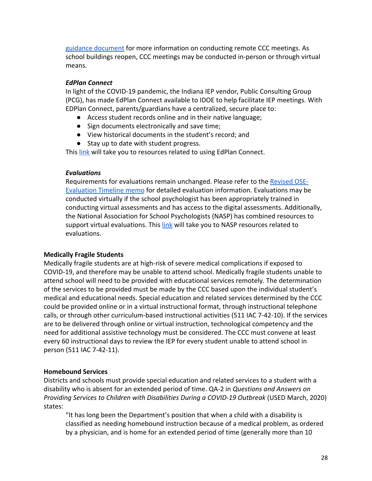[guidance document](https://www.indianaieprc.org/images/Covid/RemoteIEP/RemoteIEPMeetings.pdf) for more information on conducting remote CCC meetings. As school buildings reopen, CCC meetings may be conducted in-person or through virtual means.

### *EdPlan Connect*

In light of the COVID-19 pandemic, the Indiana IEP vendor, Public Consulting Group (PCG), has made EdPlan Connect available to IDOE to help facilitate IEP meetings. With EDPlan Connect, parents/guardians have a centralized, secure place to:

- Access student records online and in their native language;
- Sign documents electronically and save time;
- View historical documents in the student's record; and
- Stay up to date with student progress.

This [link](https://www.doe.in.gov/specialed/parent-community-resources) will take you to resources related to using EdPlan Connect.

### *Evaluations*

Requirements for evaluations remain unchanged. Please refer to the [Revised OSE-](https://docs.google.com/document/d/13PSb2uFJ09RSclVT8D04RQaMk17WQhWW9hmkwtGVsLg/edit)**[Evaluation Timeline memo](https://docs.google.com/document/d/13PSb2uFJ09RSclVT8D04RQaMk17WQhWW9hmkwtGVsLg/edit)** for detailed evaluation information. Evaluations may be conducted virtually if the school psychologist has been appropriately trained in conducting virtual assessments and has access to the digital assessments. Additionally, the National Association for School Psychologists (NASP) has combined resources to support virtual evaluations. This [link](https://www.nasponline.org/) will take you to NASP resources related to evaluations.

### **Medically Fragile Students**

Medically fragile students are at high-risk of severe medical complications if exposed to COVID-19, and therefore may be unable to attend school. Medically fragile students unable to attend school will need to be provided with educational services remotely. The determination of the services to be provided must be made by the CCC based upon the individual student's medical and educational needs. Special education and related services determined by the CCC could be provided online or in a virtual instructional format, through instructional telephone calls, or through other curriculum-based instructional activities (511 IAC 7-42-10). If the services are to be delivered through online or virtual instruction, technological competency and the need for additional assistive technology must be considered. The CCC must convene at least every 60 instructional days to review the IEP for every student unable to attend school in person (511 IAC 7-42-11).

### **Homebound Services**

Districts and schools must provide special education and related services to a student with a disability who is absent for an extended period of time. QA-2 in *Questions and Answers on Providing Services to Children with Disabilities During a COVID-19 Outbreak* (USED March, 2020) states:

"It has long been the Department's position that when a child with a disability is classified as needing homebound instruction because of a medical problem, as ordered by a physician, and is home for an extended period of time (generally more than 10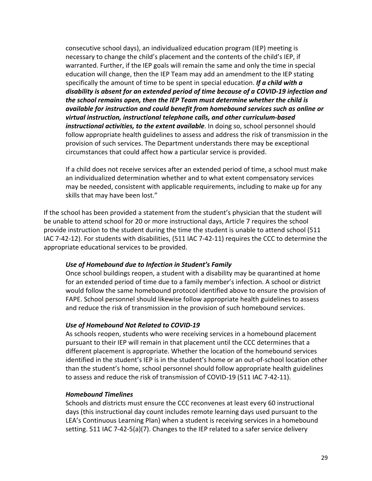consecutive school days), an individualized education program (IEP) meeting is necessary to change the child's placement and the contents of the child's IEP, if warranted. Further, if the IEP goals will remain the same and only the time in special education will change, then the IEP Team may add an amendment to the IEP stating specifically the amount of time to be spent in special education. *If a child with a disability is absent for an extended period of time because of a COVID-19 infection and the school remains open, then the IEP Team must determine whether the child is available for instruction and could benefit from homebound services such as online or virtual instruction, instructional telephone calls, and other curriculum-based instructional activities, to the extent available*. In doing so, school personnel should follow appropriate health guidelines to assess and address the risk of transmission in the provision of such services. The Department understands there may be exceptional circumstances that could affect how a particular service is provided.

If a child does not receive services after an extended period of time, a school must make an individualized determination whether and to what extent compensatory services may be needed, consistent with applicable requirements, including to make up for any skills that may have been lost."

If the school has been provided a statement from the student's physician that the student will be unable to attend school for 20 or more instructional days, Article 7 requires the school provide instruction to the student during the time the student is unable to attend school (511 IAC 7-42-12). For students with disabilities, (511 IAC 7-42-11) requires the CCC to determine the appropriate educational services to be provided.

### *Use of Homebound due to Infection in Student's Family*

Once school buildings reopen, a student with a disability may be quarantined at home for an extended period of time due to a family member's infection. A school or district would follow the same homebound protocol identified above to ensure the provision of FAPE. School personnel should likewise follow appropriate health guidelines to assess and reduce the risk of transmission in the provision of such homebound services.

### *Use of Homebound Not Related to COVID-19*

As schools reopen, students who were receiving services in a homebound placement pursuant to their IEP will remain in that placement until the CCC determines that a different placement is appropriate. Whether the location of the homebound services identified in the student's IEP is in the student's home or an out-of-school location other than the student's home, school personnel should follow appropriate health guidelines to assess and reduce the risk of transmission of COVID-19 (511 IAC 7-42-11).

#### *Homebound Timelines*

Schools and districts must ensure the CCC reconvenes at least every 60 instructional days (this instructional day count includes remote learning days used pursuant to the LEA's Continuous Learning Plan) when a student is receiving services in a homebound setting. 511 IAC 7-42-5(a)(7). Changes to the IEP related to a safer service delivery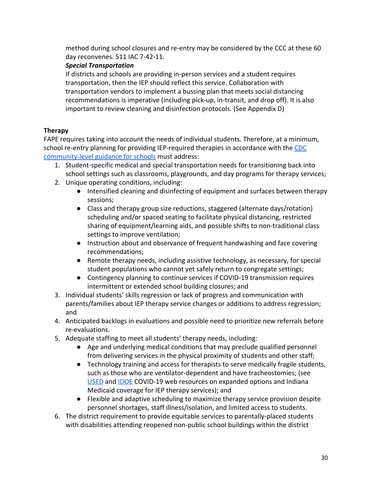method during school closures and re-entry may be considered by the CCC at these 60 day reconvenes. 511 IAC 7-42-11.

### *Special Transportation*

If districts and schools are providing in-person services and a student requires transportation, then the IEP should reflect this service. Collaboration with transportation vendors to implement a bussing plan that meets social distancing recommendations is imperative (including pick-up, in-transit, and drop off). It is also important to review cleaning and disinfection protocols. (See Appendix D)

### **Therapy**

FAPE requires taking into account the needs of individual students. Therefore, at a minimum, school re-entry planning for providing IEP-required therapies in accordance with the [CDC](https://www.cdc.gov/coronavirus/2019-ncov/downloads/community-mitigation-strategy.pdf) [community-level guidance for schools](https://www.cdc.gov/coronavirus/2019-ncov/downloads/community-mitigation-strategy.pdf) must address:

- 1. Student-specific medical and special transportation needs for transitioning back into school settings such as classrooms, playgrounds, and day programs for therapy services;
- 2. Unique operating conditions, including:
	- Intensified cleaning and disinfecting of equipment and surfaces between therapy sessions;
	- Class and therapy group size reductions, staggered (alternate days/rotation) scheduling and/or spaced seating to facilitate physical distancing, restricted sharing of equipment/learning aids, and possible shifts to non-traditional class settings to improve ventilation;
	- Instruction about and observance of frequent handwashing and face covering recommendations;
	- Remote therapy needs, including assistive technology, as necessary, for special student populations who cannot yet safely return to congregate settings;
	- Contingency planning to continue services if COVID-19 transmission requires intermittent or extended school building closures; and
- 3. Individual students' skills regression or lack of progress and communication with parents/families about IEP therapy service changes or additions to address regression; and
- 4. Anticipated backlogs in evaluations and possible need to prioritize new referrals before re-evaluations.
- 5. Adequate staffing to meet all students' therapy needs, including:
	- Age and underlying medical conditions that may preclude qualified personnel from delivering services in the physical proximity of students and other staff;
	- Technology training and access for therapists to serve medically fragile students, such as those who are ventilator-dependent and have tracheostomies; (see [USED](https://osepideasthatwork.org/continuity-learning-during-covid-19) and [IDOE](https://www.doe.in.gov/covid-19) COVID-19 web resources on expanded options and Indiana Medicaid coverage for IEP therapy services); and
	- Flexible and adaptive scheduling to maximize therapy service provision despite personnel shortages, staff illness/isolation, and limited access to students.
- 6. The district requirement to provide equitable services to parentally-placed students with disabilities attending reopened non-public school buildings within the district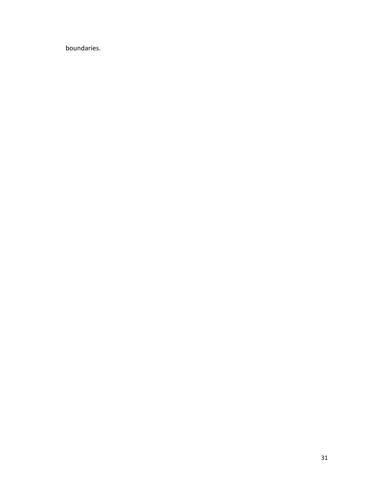boundaries.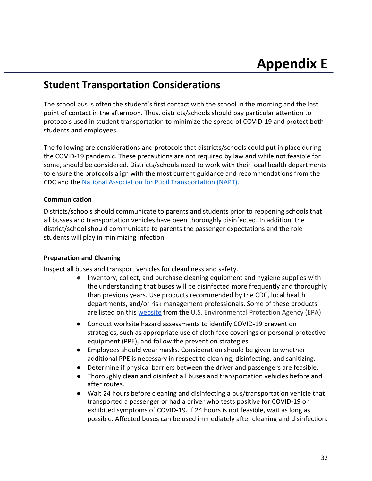### <span id="page-31-0"></span>**Student Transportation Considerations**

The school bus is often the student's first contact with the school in the morning and the last point of contact in the afternoon. Thus, districts/schools should pay particular attention to protocols used in student transportation to minimize the spread of COVID-19 and protect both students and employees.

The following are considerations and protocols that districts/schools could put in place during the COVID-19 pandemic. These precautions are not required by law and while not feasible for some, should be considered. Districts/schools need to work with their local health departments to ensure the protocols align with the most current guidance and recommendations from the CDC and the National Association for Pupil Transportation (NAPT).

### **Communication**

Districts/schools should communicate to parents and students prior to reopening schools that all busses and transportation vehicles have been thoroughly disinfected. In addition, the district/school should communicate to parents the passenger expectations and the role students will play in minimizing infection.

### **Preparation and Cleaning**

Inspect all buses and transport vehicles for cleanliness and safety.

- Inventory, collect, and purchase cleaning equipment and hygiene supplies with the understanding that buses will be disinfected more frequently and thoroughly than previous years. Use products recommended by the CDC, local health departments, and/or risk management professionals. Some of these products are listed on this [website](https://www.epa.gov/pesticide-registration/list-n-%20disinfectants-use-against-sars-cov-2) from the U.S. Environmental Protection Agency (EPA)
- Conduct worksite hazard assessments to identify COVID-19 prevention strategies, such as appropriate use of cloth face coverings or personal protective equipment (PPE), and follow the prevention strategies.
- Employees should wear masks. Consideration should be given to whether additional PPE is necessary in respect to cleaning, disinfecting, and sanitizing.
- Determine if physical barriers between the driver and passengers are feasible.
- Thoroughly clean and disinfect all buses and transportation vehicles before and after routes.
- Wait 24 hours before cleaning and disinfecting a bus/transportation vehicle that transported a passenger or had a driver who tests positive for COVID-19 or exhibited symptoms of COVID-19. If 24 hours is not feasible, wait as long as possible. Affected buses can be used immediately after cleaning and disinfection.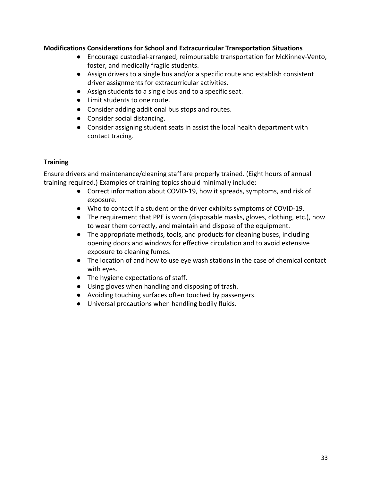### **Modifications Considerations for School and Extracurricular Transportation Situations**

- Encourage custodial-arranged, reimbursable transportation for McKinney-Vento, foster, and medically fragile students.
- Assign drivers to a single bus and/or a specific route and establish consistent driver assignments for extracurricular activities.
- Assign students to a single bus and to a specific seat.
- Limit students to one route.
- Consider adding additional bus stops and routes.
- Consider social distancing.
- Consider assigning student seats in assist the local health department with contact tracing.

### **Training**

Ensure drivers and maintenance/cleaning staff are properly trained. (Eight hours of annual training required.) Examples of training topics should minimally include:

- Correct information about COVID-19, how it spreads, symptoms, and risk of exposure.
- Who to contact if a student or the driver exhibits symptoms of COVID-19.
- The requirement that PPE is worn (disposable masks, gloves, clothing, etc.), how to wear them correctly, and maintain and dispose of the equipment.
- The appropriate methods, tools, and products for cleaning buses, including opening doors and windows for effective circulation and to avoid extensive exposure to cleaning fumes.
- The location of and how to use eye wash stations in the case of chemical contact with eyes.
- The hygiene expectations of staff.
- Using gloves when handling and disposing of trash.
- Avoiding touching surfaces often touched by passengers.
- Universal precautions when handling bodily fluids.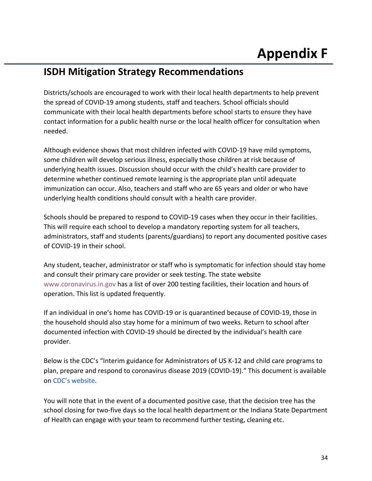### <span id="page-33-0"></span>**ISDH Mitigation Strategy Recommendations**

Districts/schools are encouraged to work with their local health departments to help prevent the spread of COVID-19 among students, staff and teachers. School officials should communicate with their local health departments before school starts to ensure they have contact information for a public health nurse or the local health officer for consultation when needed.

Although evidence shows that most children infected with COVID-19 have mild symptoms, some children will develop serious illness, especially those children at risk because of underlying health issues. Discussion should occur with the child's health care provider to determine whether continued remote learning is the appropriate plan until adequate immunization can occur. Also, teachers and staff who are 65 years and older or who have underlying health conditions should consult with a health care provider.

Schools should be prepared to respond to COVID-19 cases when they occur in their facilities. This will require each school to develop a mandatory reporting system for all teachers, administrators, staff and students (parents/guardians) to report any documented positive cases of COVID-19 in their school.

Any student, teacher, administrator or staff who is symptomatic for infection should stay home and consult their primary care provider or seek testing. The state website [www.coronavirus.in.gov](http://www.coronavirus.in.gov/) has a list of over 200 testing facilities, their location and hours of operation. This list is updated frequently.

If an individual in one's home has COVID-19 or is quarantined because of COVID-19, those in the household should also stay home for a minimum of two weeks. Return to school after documented infection with COVID-19 should be directed by the individual's health care provider.

Below is the CDC's "Interim guidance for Administrators of US K-12 and child care programs to plan, prepare and respond to coronavirus disease 2019 (COVID-19)." This document is available on [CDC's website](https://www.cdc.gov/coronavirus/2019-ncov/community/schools-childcare/guidance-forschools.html.).

You will note that in the event of a documented positive case, that the decision tree has the school closing for two-five days so the local health department or the Indiana State Department of Health can engage with your team to recommend further testing, cleaning etc.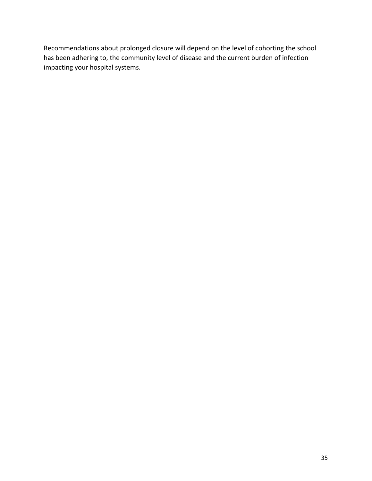Recommendations about prolonged closure will depend on the level of cohorting the school has been adhering to, the community level of disease and the current burden of infection impacting your hospital systems.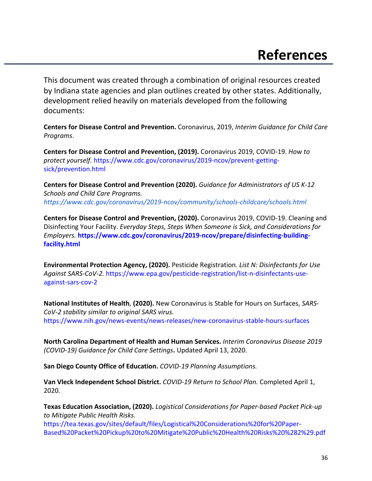<span id="page-35-0"></span> This document was created through a combination of original resources created by Indiana state agencies and plan outlines created by other states. Additionally, development relied heavily on materials developed from the following documents:

**Centers for Disease Control and Prevention.** Coronavirus, 2019, *Interim Guidance for Child Care Programs*.

**Centers for Disease Control and Prevention, (2019).** Coronavirus 2019, COVID-19. *How to protect yourself.* https:/[/www.cdc.gov/coronavirus/2019-ncov/prevent-getting](http://www.cdc.gov/coronavirus/2019-ncov/prevent-getting-)sick/prevention.html

**Centers for Disease Control and Prevention (2020).** *Guidance for Administrators of US K-12 Schools and Child Care Programs. <https://www.cdc.gov/coronavirus/2019-ncov/community/schools-childcare/schools.html>*

 *Employers.* **https:[//w](http://www.cdc.gov/coronavirus/2019-ncov/prepare/disinfecting-building-)w[w.cdc.gov/coronavirus/2019-ncov/prepare/disinfecting-building-](http://www.cdc.gov/coronavirus/2019-ncov/prepare/disinfecting-building-)Centers for Disease Control and Prevention, (2020).** Coronavirus 2019, COVID-19. Cleaning and Disinfecting Your Facility. *Everyday Steps, Steps When Someone is Sick, and Considerations for* **facility.html**

**Environmental Protection Agency, (2020).** Pesticide Registration*. List N: Disinfectants for Use Against SARS-CoV-2.* https:/[/www.epa.gov/pesticide-registration/list-n-disinfectants-use](http://www.epa.gov/pesticide-registration/list-n-disinfectants-use-)against-sars-cov-2

**National Institutes of Health**, **(2020).** New Coronavirus is Stable for Hours on Surfaces, *SARS-CoV-2 stability similar to original SARS virus.* https://[www.nih.gov/news-events/news-](http://www.nih.gov/news-events/news-)releases/new-coronavirus-stable-hours-surfaces

**North Carolina Department of Health and Human Services.** *Interim Coronavirus Disease 2019 (COVID-19) Guidance for Child Care Settings***.** Updated April 13, 2020.

**San Diego County Office of Education.** *COVID-19 Planning Assumptions.*

**Van Vleck Independent School District.** *COVID-19 Return to School Plan.* Completed April 1, 2020.

**Texas Education Association, (2020).** *Logistical Considerations for Paper-based Packet Pick-up to Mitigate Public Health Risks.*

<https://tea.texas.gov/sites/default/files/Logistical%20Considerations%20for%20Paper>-Based%20Packet%20Pickup%20to%20Mitigate%20Public%20Health%20Risks%20%282%29.pdf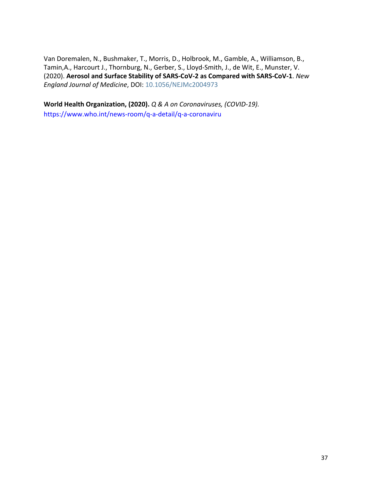Van Doremalen, N., Bushmaker, T., Morris, D., Holbrook, M., Gamble, A., Williamson, B., Tamin,A., Harcourt J., Thornburg, N., Gerber, S., Lloyd-Smith, J., de Wit, E., Munster, V. (2020). **Aerosol and Surface Stability of SARS-CoV-2 as Compared with SARS-CoV-1**. *New England Journal of Medicine*, DOI: 10.1056/NEJMc2004973

**World Health Organization, (2020).** *Q & A on Coronaviruses, (COVID-19).*

https://[www.who.int/news-room/q-a-detail/q-a-coronaviru](http://www.who.int/news-room/q-a-detail/q-a-coronaviruses)